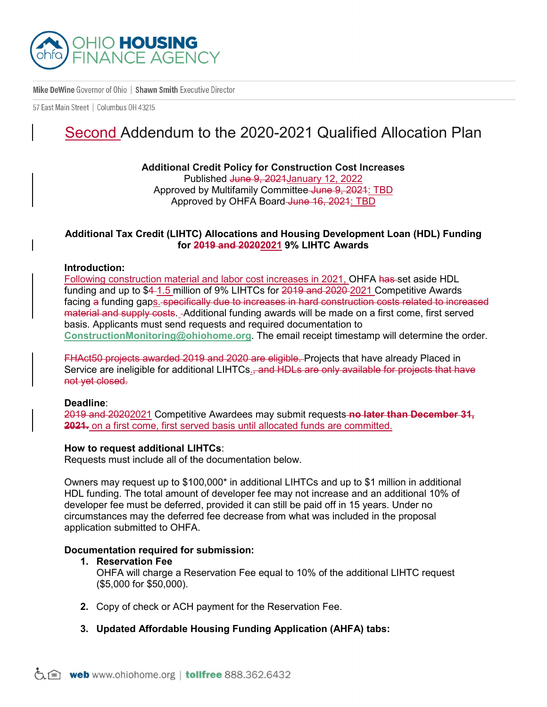

Mike DeWine Governor of Ohio | Shawn Smith Executive Director

57 East Main Street | Columbus 0H 43215

# Second Addendum to the 2020-2021 Qualified Allocation Plan

**Additional Credit Policy for Construction Cost Increases** Published June 9, 2021 January 12, 2022 Approved by Multifamily Committee June 9, 2021: TBD Approved by OHFA Board June 16, 2021: TBD

## **Additional Tax Credit (LIHTC) Allocations and Housing Development Loan (HDL) Funding for 2019 and 20202021 9% LIHTC Awards**

#### **Introduction:**

Following construction material and labor cost increases in 2021, OHFA has set aside HDL funding and up to \$4-1.5 million of 9% LIHTCs for 2019 and 2020-2021 Competitive Awards facing a funding gaps. specifically due to increases in hard construction costs related to increased material and supply costs. Additional funding awards will be made on a first come, first served basis. Applicants must send requests and required documentation to **[ConstructionMonitoring@ohiohome.org](mailto:ConstructionMonitoring@ohiohome.org)**. The email receipt timestamp will determine the order.

FHAct50 projects awarded 2019 and 2020 are eligible. Projects that have already Placed in Service are ineligible for additional LIHTCs.<del>, and HDLs are only available for projects that have</del> not yet closed.

#### **Deadline**:

2019 and 20202021 Competitive Awardees may submit requests **no later than December 31, 2021.** on a first come, first served basis until allocated funds are committed.

#### **How to request additional LIHTCs**:

Requests must include all of the documentation below.

Owners may request up to \$100,000\* in additional LIHTCs and up to \$1 million in additional HDL funding. The total amount of developer fee may not increase and an additional 10% of developer fee must be deferred, provided it can still be paid off in 15 years. Under no circumstances may the deferred fee decrease from what was included in the proposal application submitted to OHFA.

### **Documentation required for submission:**

#### **1. Reservation Fee**

OHFA will charge a Reservation Fee equal to 10% of the additional LIHTC request (\$5,000 for \$50,000).

- **2.** Copy of check or ACH payment for the Reservation Fee.
- **3. Updated Affordable Housing Funding Application (AHFA) tabs:**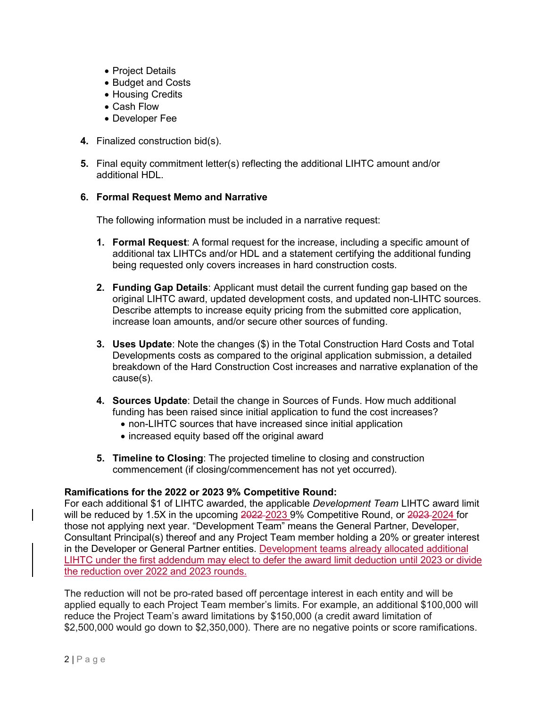- Project Details
- Budget and Costs
- Housing Credits
- Cash Flow
- Developer Fee
- **4.** Finalized construction bid(s).
- **5.** Final equity commitment letter(s) reflecting the additional LIHTC amount and/or additional HDL.

# **6. Formal Request Memo and Narrative**

The following information must be included in a narrative request:

- **1. Formal Request**: A formal request for the increase, including a specific amount of additional tax LIHTCs and/or HDL and a statement certifying the additional funding being requested only covers increases in hard construction costs.
- **2. Funding Gap Details**: Applicant must detail the current funding gap based on the original LIHTC award, updated development costs, and updated non-LIHTC sources. Describe attempts to increase equity pricing from the submitted core application, increase loan amounts, and/or secure other sources of funding.
- **3. Uses Update**: Note the changes (\$) in the Total Construction Hard Costs and Total Developments costs as compared to the original application submission, a detailed breakdown of the Hard Construction Cost increases and narrative explanation of the cause(s).
- **4. Sources Update**: Detail the change in Sources of Funds. How much additional funding has been raised since initial application to fund the cost increases?
	- non-LIHTC sources that have increased since initial application
	- increased equity based off the original award
- **5. Timeline to Closing**: The projected timeline to closing and construction commencement (if closing/commencement has not yet occurred).

# **Ramifications for the 2022 or 2023 9% Competitive Round:**

For each additional \$1 of LIHTC awarded, the applicable *Development Team* LIHTC award limit will be reduced by 1.5X in the upcoming 2022-2023 9% Competitive Round, or 2023-2024 for those not applying next year. "Development Team" means the General Partner, Developer, Consultant Principal(s) thereof and any Project Team member holding a 20% or greater interest in the Developer or General Partner entities. Development teams already allocated additional LIHTC under the first addendum may elect to defer the award limit deduction until 2023 or divide the reduction over 2022 and 2023 rounds.

The reduction will not be pro-rated based off percentage interest in each entity and will be applied equally to each Project Team member's limits. For example, an additional \$100,000 will reduce the Project Team's award limitations by \$150,000 (a credit award limitation of \$2,500,000 would go down to \$2,350,000). There are no negative points or score ramifications.